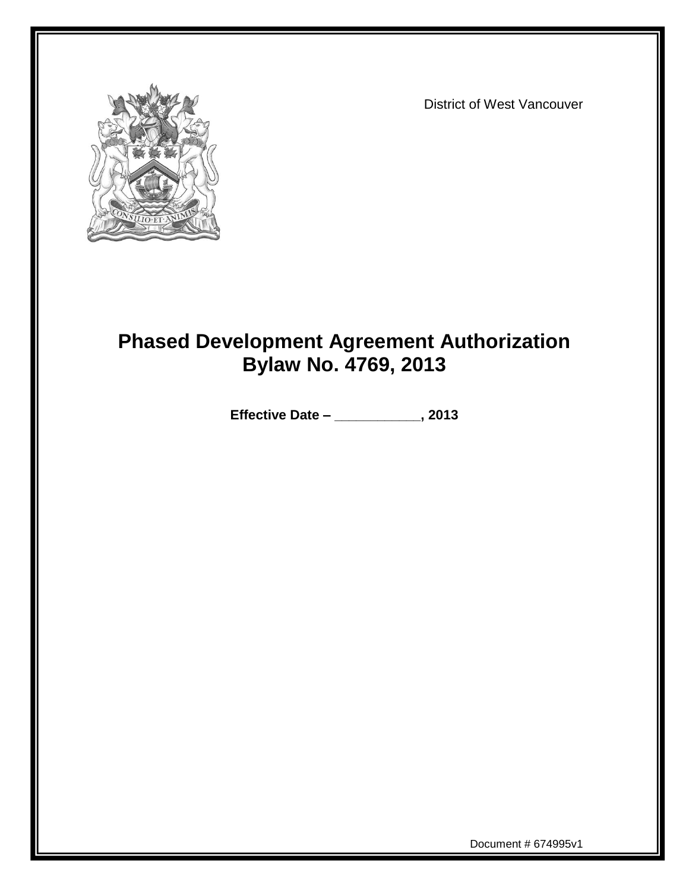

District of West Vancouver

# **Phased Development Agreement Authorization Bylaw No. 4769, 2013**

**Effective Date – \_\_\_\_\_\_\_\_\_\_\_\_, 2013**

Document # 674995v1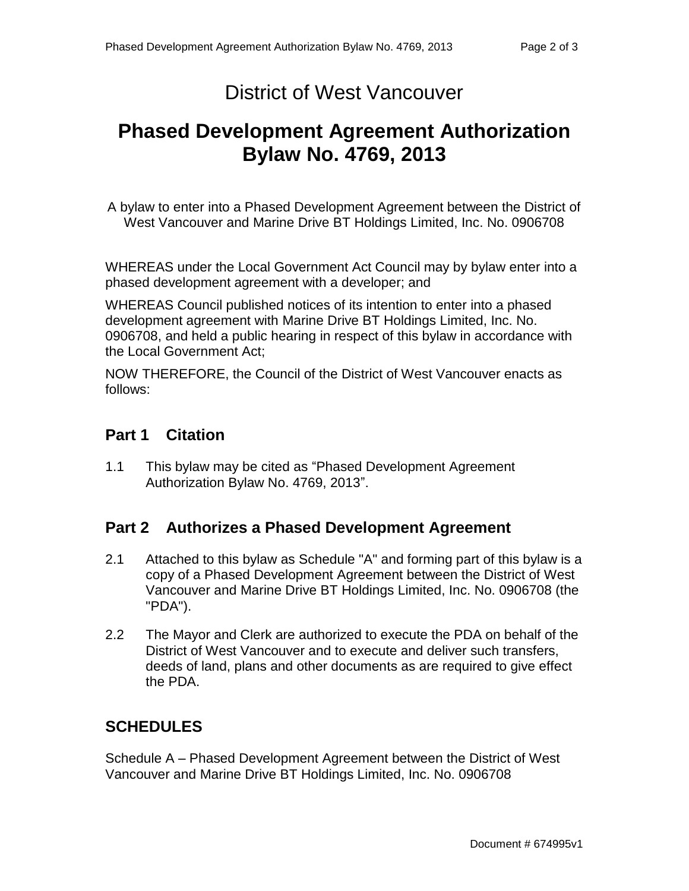### District of West Vancouver

## **Phased Development Agreement Authorization Bylaw No. 4769, 2013**

A bylaw to enter into a Phased Development Agreement between the District of West Vancouver and Marine Drive BT Holdings Limited, Inc. No. 0906708

WHEREAS under the Local Government Act Council may by bylaw enter into a phased development agreement with a developer; and

WHEREAS Council published notices of its intention to enter into a phased development agreement with Marine Drive BT Holdings Limited, Inc. No. 0906708, and held a public hearing in respect of this bylaw in accordance with the Local Government Act;

NOW THEREFORE, the Council of the District of West Vancouver enacts as follows:

#### **Part 1 Citation**

1.1 This bylaw may be cited as "Phased Development Agreement Authorization Bylaw No. 4769, 2013".

#### **Part 2 Authorizes a Phased Development Agreement**

- 2.1 Attached to this bylaw as Schedule "A" and forming part of this bylaw is a copy of a Phased Development Agreement between the District of West Vancouver and Marine Drive BT Holdings Limited, Inc. No. 0906708 (the "PDA").
- 2.2 The Mayor and Clerk are authorized to execute the PDA on behalf of the District of West Vancouver and to execute and deliver such transfers, deeds of land, plans and other documents as are required to give effect the PDA.

### **SCHEDULES**

Schedule A – Phased Development Agreement between the District of West Vancouver and Marine Drive BT Holdings Limited, Inc. No. 0906708